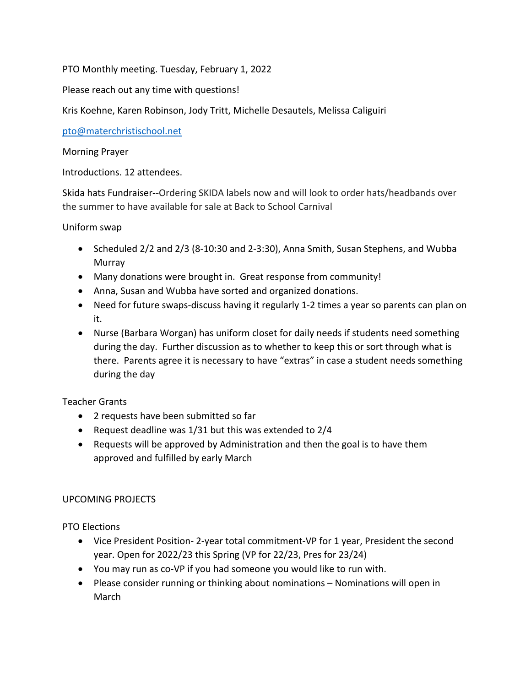PTO Monthly meeting. Tuesday, February 1, 2022

Please reach out any time with questions!

Kris Koehne, Karen Robinson, Jody Tritt, Michelle Desautels, Melissa Caliguiri

pto@materchristischool.net

Morning Prayer

Introductions. 12 attendees.

Skida hats Fundraiser--Ordering SKIDA labels now and will look to order hats/headbands over the summer to have available for sale at Back to School Carnival

Uniform swap

- Scheduled 2/2 and 2/3 (8-10:30 and 2-3:30), Anna Smith, Susan Stephens, and Wubba Murray
- Many donations were brought in. Great response from community!
- Anna, Susan and Wubba have sorted and organized donations.
- Need for future swaps-discuss having it regularly 1-2 times a year so parents can plan on it.
- Nurse (Barbara Worgan) has uniform closet for daily needs if students need something during the day. Further discussion as to whether to keep this or sort through what is there. Parents agree it is necessary to have "extras" in case a student needs something during the day

Teacher Grants

- 2 requests have been submitted so far
- Request deadline was 1/31 but this was extended to 2/4
- Requests will be approved by Administration and then the goal is to have them approved and fulfilled by early March

## UPCOMING PROJECTS

PTO Elections

- Vice President Position- 2-year total commitment-VP for 1 year, President the second year. Open for 2022/23 this Spring (VP for 22/23, Pres for 23/24)
- You may run as co-VP if you had someone you would like to run with.
- Please consider running or thinking about nominations Nominations will open in March